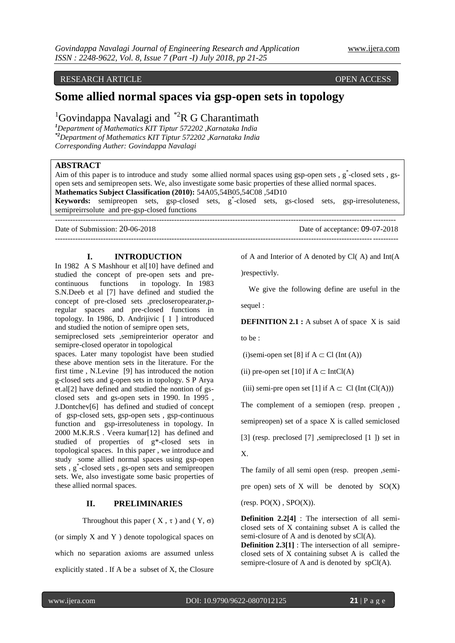## RESEARCH ARTICLE **CONTRACT ARTICLE** AND LOGISTATION OPEN ACCESS **OPEN** ACCESS

# **Some allied normal spaces via gsp-open sets in topology**

## <sup>1</sup>Govindappa Navalagi and <sup>\*2</sup>R G Charantimath

*<sup>1</sup>Department of Mathematics KIT Tiptur 572202 ,Karnataka India \*2Department of Mathematics KIT Tiptur 572202 ,Karnataka India Corresponding Auther: Govindappa Navalagi*

## **ABSTRACT**

Aim of this paper is to introduce and study some allied normal spaces using gsp-open sets, g\*-closed sets, gsopen sets and semipreopen sets. We, also investigate some basic properties of these allied normal spaces. **Mathematics Subject Classification (2010):** 54A05,54B05,54C08 ,54D10

Keywords: semipreopen sets, gsp-closed sets, g<sup>\*</sup>-closed sets, gs-closed sets, gsp-irresoluteness, semipreirrsolute and pre-gsp-closed functions --------------------------------------------------------------------------------------------------------------------------------------

---------------------------------------------------------------------------------------------------------------------------------------

Date of Submission: 20-06-2018 Date of acceptance: 09-07-2018

**I. INTRODUCTION**

In 1982 A S Mashhour et all [10] have defined and studied the concept of pre-open sets and precontinuous functions in topology. In 1983 S.N.Deeb et al [7] have defined and studied the concept of pre-closed sets ,precloseropearater,pregular spaces and pre-closed functions in topology. In 1986, D. Andrijivic [ 1 ] introduced and studied the notion of semipre open sets,

semipreclosed sets ,semipreinterior operator and semipre-closed operator in topological

spaces. Later many topologist have been studied these above mention sets in the literature. For the first time , N.Levine [9] has introduced the notion g-closed sets and g-open sets in topology. S P Arya et.al[2] have defined and studied the nontion of gsclosed sets and gs-open sets in 1990. In 1995 , J.Dontchev[6] has defined and studied of concept of gsp-closed sets, gsp-open sets , gsp-continuous function and gsp-irresoluteness in topology. In 2000 M.K.R.S . Veera kumar[12] has defined and studied of properties of g\*-closed sets in topological spaces. In this paper , we introduce and study some allied normal spaces using gsp-open sets , g\* -closed sets , gs-open sets and semipreopen sets. We, also investigate some basic properties of these allied normal spaces.

#### **II. PRELIMINARIES**

Throughout this paper ( $X, \tau$ ) and ( $Y, \sigma$ )

(or simply X and Y ) denote topological spaces on which no separation axioms are assumed unless explicitly stated . If A be a subset of X, the Closure of A and Interior of A denoted by Cl( A) and Int(A

)respectivly.

 We give the following define are useful in the sequel :

**DEFINITION 2.1 :** A subset A of space X is said to be :

(i)semi-open set [8] if  $A \subset Cl$  (Int (A))

(ii) pre-open set [10] if  $A \subset IntCl(A)$ 

(iii) semi-pre open set [1] if  $A \subset Cl$  (Int (Cl(A)))

The complement of a semiopen (resp. preopen ,

semipreopen) set of a space X is called semiclosed

[3] (resp. preclosed [7] ,semipreclosed [1] ) set in

X.

The family of all semi open (resp. preopen ,semi-

pre open) sets of  $X$  will be denoted by  $SO(X)$ 

 $(resp. PO(X), SPO(X)).$ 

**Definition 2.2[4]** : The intersection of all semiclosed sets of X containing subset A is called the semi-closure of A and is denoted by  $sCl(A)$ .

**Definition 2.3[1]** : The intersection of all semipreclosed sets of X containing subset A is called the semipre-closure of A and is denoted by spCl(A).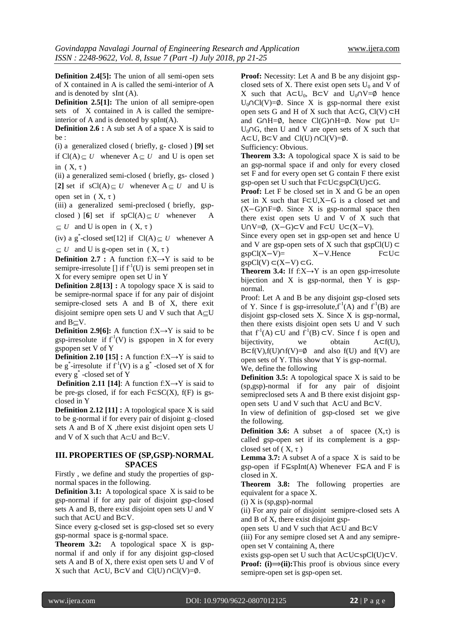**Definition 2.4[5]:** The union of all semi-open sets of X contained in A is called the semi-interior of A and is denoted by sInt (A).

**Definition 2.5[1]:** The union of all semipre-open sets of X contained in A is called the semipreinterior of A and is denoted by spInt(A).

**Definition 2.6 :** A sub set A of a space X is said to be :

(i) a generalized closed ( briefly, g- closed ) **[9]** set if  $Cl(A) \subseteq U$  whenever  $A \subseteq U$  and U is open set in  $(X, \tau)$ 

(ii) a generalized semi-closed ( briefly, gs- closed )

[2] set if  $sCl(A) \subseteq U$  whenever  $A \subseteq U$  and U is open set in  $(X, \tau)$ 

(iii) a generalized semi-preclosed ( briefly, gspclosed  $\bigcup$  [6] set if spCl(A)  $\subseteq U$  whenever A  $\subseteq U$  and U is open in  $(X, \tau)$ 

(iv) a g<sup>\*</sup>-closed set[12] if  $Cl(A) \subseteq U$  whenever A

 $\subseteq U$  and U is g-open set in  $(X, \tau)$ 

**Definition 2.7 :** A function  $f: X \rightarrow Y$  is said to be semipre-irresolute  $[]$  if  $f^{-1}(U)$  is semi preopen set in X for every semipre open set U in Y

**Definition 2.8[13] :** A topology space X is said to be semipre-normal space if for any pair of disjoint semipre-closed sets A and B of X, there exit disjoint semipre open sets U and V such that  $A \subseteq U$ and  $B\subset V$ .

**Definition 2.9[6]:** A function  $f: X \rightarrow Y$  is said to be gsp-irresolute if  $f'(V)$  is gspopen in X for every gspopen set V of Y

**Definition 2.10 [15] :** A function  $f: X \rightarrow Y$  is said to be g<sup>\*</sup>-irresolute if  $f^{-1}(V)$  is a g<sup>\*</sup>-closed set of X for every g\* -closed set of Y

**Definition 2.11 [14]:** A function  $f: X \rightarrow Y$  is said to be pre-gs closed, if for each F⊂SC(X), f(F) is gsclosed in Y

**Definition 2.12 [11] :** A topological space X is said to be g-normal if for every pair of disjoint g–closed sets A and B of X ,there exist disjoint open sets U and V of X such that  $A \subset U$  and  $B \subset V$ .

## **III. PROPERTIES OF (SP,GSP)-NORMAL SPACES**

Firstly , we define and study the properties of gspnormal spaces in the following.

**Definition 3.1:** A topological space X is said to be gsp-normal if for any pair of disjoint gsp-closed sets A and B, there exist disjoint open sets U and V such that A⊂U and B⊂V.

Since every g-closed set is gsp-closed set so every gsp-normal space is g-normal space.

**Theorem 3.2:** A topological space X is gspnormal if and only if for any disjoint gsp-closed sets A and B of X, there exist open sets U and V of X such that  $A \subset U$ ,  $B \subset V$  and  $Cl(U) \cap Cl(V) = ∅$ .

**Proof:** Necessity: Let A and B be any disjoint gspclosed sets of X. There exist open sets  $U_0$  and V of X such that  $A \subset U_0$ , B⊂V and  $U_0 \cap V = \emptyset$  hence U<sub>0</sub>∩Cl(V)= $\emptyset$ . Since X is gsp-normal there exist open sets G and H of X such that  $A \subset G$ ,  $Cl(V) \subset H$ and G∩H=∅, hence Cl(G)∩H=∅. Now put U= U<sub>0</sub>∩G, then U and V are open sets of X such that A⊂U, B⊂V and Cl(U) ∩Cl(V)=∅.

Sufficiency: Obvious.

**Theorem 3.3:** A topological space X is said to be an gsp-normal space if and only for every closed set F and for every open set G contain F there exist gsp-open set U such that F⊂U⊂gspCl(U)⊂G.

Proof: Let F be closed set in X and G be an open set in X such that F⊂U,X−G is a closed set and (X−G)∩F=∅. Since X is gsp-normal space then there exist open sets U and V of X such that U∩V= $\emptyset$ , (X–G)⊂V and F⊂U U⊂(X–V).

Since every open set in gsp-open set and hence U and V are gsp-open sets of X such that gspCl(U)  $\subset$ gspCl(X–V)=  $X-V$ .Hence F⊂U⊂  $gspCl(V)$  ⊂(X–V) ⊂G.

**Theorem 3.4:** If  $f: X \rightarrow Y$  is an open gsp-irresolute bijection and X is gsp-normal, then Y is gspnormal.

Proof: Let A and B be any disjoint gsp-closed sets of Y. Since f is gsp-irresolute,  $f^1(A)$  and  $f^1(B)$  are disjoint gsp-closed sets X. Since X is gsp-normal, then there exists disjoint open sets U and V such that  $f^1(A) \subset U$  and  $f^1(B) \subset V$ . Since f is open and bijectivity, we obtain  $A \subset f(U)$ , B⊂f(V),f(U)∩f(V)= $\emptyset$  and also f(U) and f(V) are open sets of Y. This show that Y is gsp-normal. We, define the following

**Definition 3.5:** A topological space X is said to be (sp,gsp)-normal if for any pair of disjoint semipreclosed sets A and B there exist disjoint gspopen sets U and V such that A⊂U and B⊂V.

In view of definition of gsp-closed set we give the following.

**Definition 3.6:** A subset a of spacee  $(X,\tau)$  is called gsp-open set if its complement is a gspclosed set of  $(X, \tau)$ 

**Lemma 3.7:** A subset A of a space X is said to be gsp-open if F⊆spInt(A) Whenever F⊆A and F is closed in X.

**Theorem 3.8:** The following properties are equivalent for a space X.

 $(i)$  X is  $(sp, gsp)$ -normal

(ii) For any pair of disjoint semipre-closed sets A and B of X, there exist disjoint gsp-

open sets U and V such that A⊂U and B⊂V

(iii) For any semipre closed set A and any semipreopen set V containing A, there

exists gsp-open set U such that A⊂U⊂spCl(U)⊂V.

**Proof:** (i) $\Rightarrow$ (ii):This proof is obvious since every semipre-open set is gsp-open set.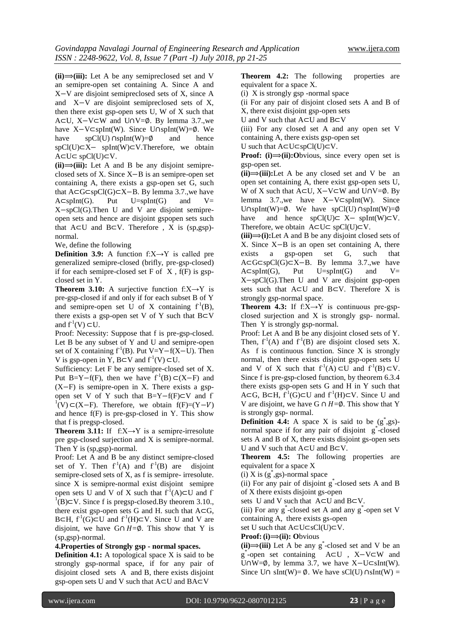$(ii) \rightarrow (iii)$ : Let A be any semipreclosed set and V an semipre-open set containing A. Since A and X−V are disjoint semipreclosed sets of X, since A and X−V are disjoint semipreclosed sets of X, then there exist gsp-open sets U, W of X such that A⊂U, X−V⊂W and U∩V=∅. By lemma 3.7.,we have X−V⊂spInt(W). Since U∩spInt(W)=∅. We have  $spCl(U) \cap spInt(W)=\emptyset$  and hence spCl(U)⊂X− spInt(W)⊂V.Therefore, we obtain A⊂U⊂ spCl(U)⊂V.

 $(ii) \rightarrow (iii)$ : Let A and B be any disjoint semipreclosed sets of X. Since X−B is an semipre-open set containing A, there exists a gsp-open set G, such that A⊂G⊂spCl(G)⊂X−B. By lemma 3.7.,we have  $A \subset splnt(G)$ . Put  $U = splnt(G)$  and  $V =$ X−spCl(G).Then U and V are disjoint semipreopen sets and hence are disjoint gspopen sets such that  $A ⊂ U$  and  $B ⊂ V$ . Therefore, X is (sp,gsp)normal.

We, define the following

**Definition 3.9:** A function  $f: X \rightarrow Y$  is called pre generalized semipre-closed (brifly, pre-gsp-closed) if for each semipre-closed set  $F$  of  $X$ ,  $f(F)$  is gspclosed set in Y.

**Theorem 3.10:** A surjective function  $f:X\rightarrow Y$  is pre-gsp-closed if and only if for each subset B of Y and semipre-open set U of X containing  $f^1(B)$ , there exists a gsp-open set V of Y such that  $B \subset V$ and  $f^1(V) \subset U$ .

Proof: Necessity: Suppose that f is pre-gsp-closed. Let B be any subset of Y and U and semipre-open set of X containing  $f<sup>1</sup>(B)$ . Put V=Y−f(X−U). Then V is gsp-open in Y, B⊂V and  $f'(V) \subset U$ .

Sufficiency: Let F be any semipre-closed set of X. Put B=Y−f(F), then we have  $f^{-1}(B) \subset (X-F)$  and (X−F) is semipre-open in X. There exists a gspopen set V of Y such that B=Y-f(F)⊂V and f <sup>1</sup>(V)⊂(X–F). Therefore, we obtain f(F)=(Y–V) and hence  $f(F)$  is pre-gsp-closed in Y. This show that f is pregsp-closed.

**Theorem 3.11:** If  $f: X \rightarrow Y$  is a semipre-irresolute pre gsp-closed surjection and X is semipre-normal. Then Y is (sp,gsp)-normal.

Proof: Let A and B be any distinct semipre-closed set of Y. Then  $f^1(A)$  and  $f^1(B)$  are disjoint semipre-closed sets of X, as f is semipre- irresolute. since X is semipre-normal exist disjoint semipre open sets U and V of X such that  $f^1(A) \subset U$  and f  $1(B)$ ⊂V. Since f is pregsp-closed.By theorem 3.10., there exist gsp-open sets G and H. such that  $A \subset G$ , B⊂H,  $f^1(G)$ ⊂U and  $f^1(H)$ ⊂V. Since U and V are disjoint, we have G∩  $H = \emptyset$ . This show that Y is (sp,gsp)-normal.

**4.Properties of Strongly gsp - normal spaces.**

**Definition 4.1:** A topological space X is said to be strongly gsp-normal space, if for any pair of disjoint closed sets A and B, there exists disjoint gsp-open sets U and V such that A⊂U and BA⊂V

**Theorem 4.2:** The following properties are equivalent for a space X.

(i) X is strongly gsp -normal space

(ii For any pair of disjoint closed sets A and B of X, there exist disjoint gsp-open sets

U and V such that A⊂U and B⊂V

(iii) For any closed set A and any open set V containing A, there exists gsp-open set

U such that A⊂U⊂spCl(U)⊂V.

**Proof:** (i) $\implies$ (ii):Obvious, since every open set is gsp-open set.

 $(iii) \implies (iii)$ :Let A be any closed set and V be an open set containing A, there exist gsp-open sets U, W of X such that A⊂U, X–V⊂W and U∩V=Ø. By lemma 3.7.,we have X−V⊂spInt(W). Since U∩spInt(W)=∅. We have spCl(U) ∩spInt(W)=∅ have and hence spCl(U)⊂ X– spInt(W)⊂V. Therefore, we obtain  $A \subset U \subset spCl(U) \subset V$ .

 $(iii) \implies (i):$  Let A and B be any disjoint closed sets of X. Since X–B is an open set containing A, there exists a gsp-open set G, such that exists a gsp-open set G, such that A⊂G⊂spCl(G)⊂X−B. By lemma 3.7.,we have  $A \subseteq splnt(G)$ , Put U=spInt(G) and V= X−spCl(G).Then U and V are disjoint gsp-open sets such that A⊂U and B⊂V. Therefore X is strongly gsp-normal space.

**Theorem 4.3:** If  $f:X\rightarrow Y$  is continuous pre-gspclosed surjection and X is strongly gsp- normal. Then Y is strongly gsp-normal.

Proof: Let A and B be any disjoint closed sets of Y. Then,  $f^1(A)$  and  $f^1(B)$  are disjoint closed sets X. As f is continuous function. Since X is strongly normal, then there exists disjoint gsp-open sets U and V of X such that  $f'(A) \subset U$  and  $f'(B) \subset V$ . Since f is pre-gsp-closed function, by theorem 6.3.4 there exists gsp-open sets G and H in Y such that A⊂G, B⊂H,  $f^1(G)$ ⊂U and  $f^1(H)$ ⊂V. Since U and V are disjoint, we have G ∩  $H = \emptyset$ . This show that Y is strongly gsp- normal.

**Definition 4.4:** A space X is said to be  $(g^*$ , gs)normal space if for any pair of disjoint g\* -closed sets A and B of X, there exists disjoint gs-open sets U and V such that A⊂U and B⊂V.

**Theorem 4.5:** The following properties are equivalent for a space X

 $(i)$  X is  $(g^*$ , gs)-normal space

(ii) For any pair of disjoint g \* -closed sets A and B of X there exists disjoint gs-open

sets U and V such that A⊂U and B⊂V.

(iii) For any  $g^*$ -closed set A and any  $g^*$ -open set V containing A, there exists gs-open

set U such that A⊂U⊂sCl(U)⊂V.

## **Proof:** (**i**)⇒(**ii**): Obvious

 $(ii) \rightarrow (iii)$  Let A be any g<sup>\*</sup>-closed set and V be an g \* -open set containing A⊂U , X−V⊂W and U∩W=∅, by lemma 3.7, we have X−U⊂sInt(W). Since U∩ sInt(W)=  $\emptyset$ . We have sCl(U) ∩sInt(W) =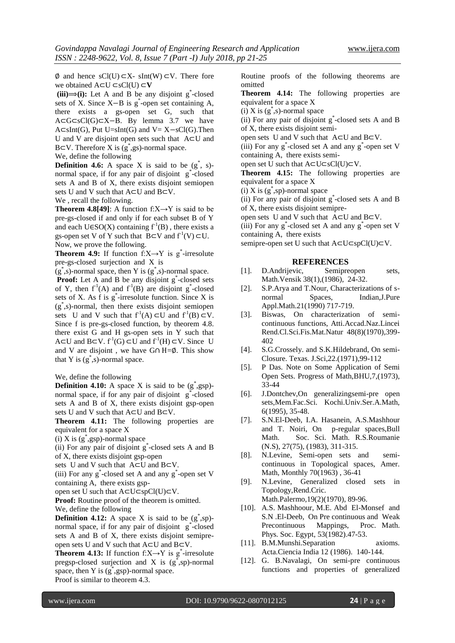$\emptyset$  and hence sCl(U) ⊂X- sInt(W) ⊂V. There fore we obtained A⊂U ⊂sCl(U) ⊂**V**

 $(iii) \rightarrow (i)$ : Let A and B be any disjoint  $g^*$ -closed sets of X. Since X–B is g<sup>\*</sup>-open set containing A, there exists a gs-open set G, such that A⊂G⊂sCl(G)⊂X−B. By lemma 3.7 we have A⊂sInt(G), Put U=sInt(G) and V= X−sCl(G).Then U and V are disjoint open sets such that A⊂U and B⊂V. Therefore X is  $(g^*$ , gs)-normal space.

We, define the following

**Definition 4.6:** A space X is said to be  $(g^*$ , s)normal space, if for any pair of disjoint g\*-closed sets A and B of X, there exists disjoint semiopen sets U and V such that A⊂U and B⊂V.

We , recall the following.

**Theorem 4.8[49]:** A function  $f: X \rightarrow Y$  is said to be pre-gs-closed if and only if for each subset B of Y and each U $\in$ SO(X) containing  $f^1(B)$ , there exists a gs-open set V of Y such that  $B \subset V$  and  $f'(V) \subset U$ . Now, we prove the following.

**Theorem 4.9:** If function  $f: X \rightarrow Y$  is g\*-irresolute pre-gs-closed surjection and X is

 $(g^*$ ,s)-normal space, then Y is  $(g^*$ ,s)-normal space.

**Proof:** Let A and B be any disjoint g<sup>\*</sup>-closed sets of Y, then  $f'(A)$  and  $f'(B)$  are disjoint g\*-closed sets of X. As f is  $g^*$ -irresolute function. Since X is (g\* ,s)-normal, then there exists disjoint semiopen sets U and V such that  $f'(A) \subset U$  and  $f'(B) \subset V$ . Since f is pre-gs-closed function, by theorem 4.8. there exist G and H gs-open sets in Y such that A⊂U and B⊂V.  $f<sup>1</sup>(G)$  ⊂U and  $f<sup>1</sup>(H)$  ⊂V. Since U and V are disjoint , we have G∩ H=∅. This show that Y is  $(g^*$ , s)-normal space.

We, define the following

**Definition 4.10:** A space X is said to be  $(g^*$ , gsp)normal space, if for any pair of disjoint g<sup>\*</sup>-closed sets A and B of X, there exists disjoint gsp-open sets U and V such that A⊂U and B⊂V.

**Theorem 4.11:** The following properties are equivalent for a space X

 $(i)$  X is  $(g^*$ , gsp)-normal space

(ii) For any pair of disjoint g \* -closed sets A and B of X, there exists disjoint gsp-open

sets U and V such that A⊂U and B⊂V.

(iii) For any  $g^*$ -closed set A and any  $g^*$ -open set V containing A, there exists gsp-

open set U such that A⊂U⊂spCl(U)⊂V.

**Proof:** Routine proof of the theorem is omitted.

We, define the following

**Definition 4.12:** A space X is said to be  $(g^*$ , sp)normal space, if for any pair of disjoint g\*-closed sets A and B of X, there exists disjoint semipreopen sets U and V such that A⊂U and B⊂V.

**Theorem 4.13:** If function  $f: X \rightarrow Y$  is g\*-irresolute pregsp-closed surjection and X is  $(g^*$ , sp)-normal space, then Y is  $(g^*$ , gsp)-normal space. Proof is similar to theorem 4.3.

Routine proofs of the following theorems are omitted

**Theorem 4.14:** The following properties are equivalent for a space X

 $(i)$  X is  $(g^*$ , s)-normal space

(ii) For any pair of disjoint g \* -closed sets A and B of X, there exists disjoint semi-

open sets U and V such that A⊂U and B⊂V.

 $(iii)$  For any  $g^*$ -closed set A and any  $g^*$ -open set V containing A, there exists semi-

open set U such that A⊂U⊂sCl(U)⊂V.

**Theorem 4.15:** The following properties are equivalent for a space X

 $(i)$  X is  $(g^*$ , sp)-normal space

(ii) For any pair of disjoint g \* -closed sets A and B of X, there exists disjoint semipre-

open sets U and V such that A⊂U and B⊂V.

 $(iii)$  For any  $g^*$ -closed set A and any  $g^*$ -open set V containing A, there exists

semipre-open set U such that A⊂U⊂spCl(U)⊂V.

#### **REFERENCES**

- [1]. D.Andrijevic, Semipreopen sets, Math.Vensik 38(1),(1986), 24-32.
- [2]. S.P.Arya and T.Nour, Characterizations of snormal Spaces, Indian,J.Pure Appl.Math.21(1990) 717-719.
- [3]. Biswas, On characterization of semicontinuous functions, Atti.Accad.Naz.Lincei Rend.Cl.Sci.Fis.Mat.Natur 48(8)(1970),399- 402
- [4]. S.G.Crossely. and S.K.Hildebrand, On semi-Closure. Texas. J.Sci,22.(1971),99-112
- [5]. P Das. Note on Some Application of Semi Open Sets. Progress of Math,BHU,7,(1973), 33-44
- [6]. J.Dontchev,On generalizingsemi-pre open sets,Mem.Fac.Sci. Kochi.Univ.Ser.A.Math, 6(1995), 35-48.
- [7]. S.N.El-Deeb, I.A. Hasanein, A.S.Mashhour and T. Noiri, On p-regular spaces,Bull Math. Soc. Sci. Math. R.S.Roumanie (N.S), 27(75), (1983), 311-315.
- [8]. N.Levine, Semi-open sets and semicontinuous in Topological spaces, Amer. Math, Monthly 70(1963) , 36-41
- [9]. N.Levine, Generalized closed sets in Topology,Rend.Cric. Math.Palermo,19(2)(1970), 89-96.
- [10]. A.S. Mashhoour, M.E. Abd El-Monsef and S.N .El-Deeb, On Pre continuous and Weak Precontinuous Mappings, Proc. Math. Phys. Soc. Egypt, 53(1982).47-53.
- [11]. B.M.Munshi.Separation axioms. Acta.Ciencia India 12 (1986). 140-144.
- [12]. G. B.Navalagi, On semi-pre continuous functions and properties of generalized